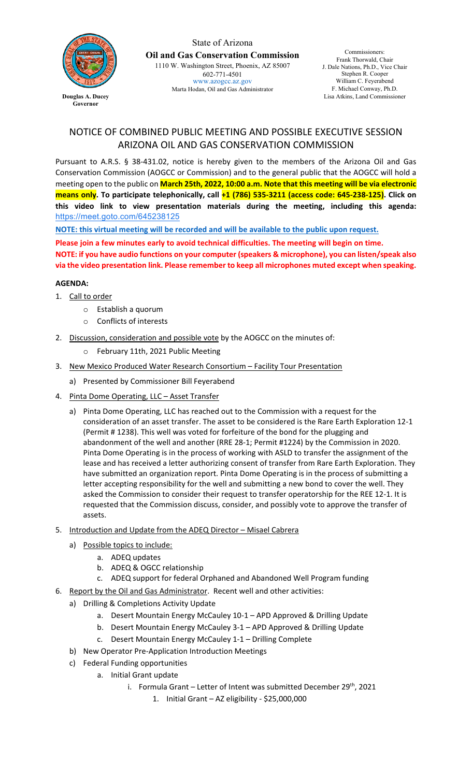

State of Arizona **Oil and Gas Conservation Commission** 1110 W. Washington Street, Phoenix, AZ 85007 602-771-4501 [www.azogcc.az.gov](http://www.azogcc.az.gov/) Marta Hodan, Oil and Gas Administrator

Commissioners: Frank Thorwald, Chair J. Dale Nations, Ph.D., Vice Chair Stephen R. Cooper William C. Feyerabend F. Michael Conway, Ph.D. Lisa Atkins, Land Commissioner

## NOTICE OF COMBINED PUBLIC MEETING AND POSSIBLE EXECUTIVE SESSION ARIZONA OIL AND GAS CONSERVATION COMMISSION

Pursuant to A.R.S. § 38-431.02, notice is hereby given to the members of the Arizona Oil and Gas Conservation Commission (AOGCC or Commission) and to the general public that the AOGCC will hold a meeting open to the public on **March 25th, 2022, 10:00 a.m. Note that this meeting will be via electronic means only. To participate telephonically, call +1 (786) 535-3211 (access code: 645-238-125). Click on this video link to view presentation materials during the meeting, including this agenda:** [https://meet.goto.com/645238125](https://www.google.com/url?q=https://meet.goto.com/645238125&sa=D&source=calendar&ust=1647891184515877&usg=AOvVaw3Diqr_0R8xstt3aavFbE7i)

**NOTE: this virtual meeting will be recorded and will be available to the public upon request.** 

**Please join a few minutes early to avoid technical difficulties. The meeting will begin on time.**

**NOTE: if you have audio functions on your computer (speakers & microphone), you can listen/speak also via the video presentation link. Please remember to keep all microphones muted except when speaking.**

## **AGENDA:**

- 1. Call to order
	- o Establish a quorum
	- o Conflicts of interests
- 2. Discussion, consideration and possible vote by the AOGCC on the minutes of:
	- o February 11th, 2021 Public Meeting
- 3. New Mexico Produced Water Research Consortium Facility Tour Presentation
	- a) Presented by Commissioner Bill Feyerabend
- 4. Pinta Dome Operating, LLC Asset Transfer
	- a) Pinta Dome Operating, LLC has reached out to the Commission with a request for the consideration of an asset transfer. The asset to be considered is the Rare Earth Exploration 12-1 (Permit # 1238). This well was voted for forfeiture of the bond for the plugging and abandonment of the well and another (RRE 28-1; Permit #1224) by the Commission in 2020. Pinta Dome Operating is in the process of working with ASLD to transfer the assignment of the lease and has received a letter authorizing consent of transfer from Rare Earth Exploration. They have submitted an organization report. Pinta Dome Operating is in the process of submitting a letter accepting responsibility for the well and submitting a new bond to cover the well. They asked the Commission to consider their request to transfer operatorship for the REE 12-1. It is requested that the Commission discuss, consider, and possibly vote to approve the transfer of assets.
- 5. Introduction and Update from the ADEQ Director Misael Cabrera
	- a) Possible topics to include:
		- a. ADEQ updates
		- b. ADEQ & OGCC relationship
		- c. ADEQ support for federal Orphaned and Abandoned Well Program funding
- 6. Report by the Oil and Gas Administrator. Recent well and other activities:
	- a) Drilling & Completions Activity Update
		- a. Desert Mountain Energy McCauley 10-1 APD Approved & Drilling Update
		- b. Desert Mountain Energy McCauley 3-1 APD Approved & Drilling Update
		- c. Desert Mountain Energy McCauley 1-1 Drilling Complete
	- b) New Operator Pre-Application Introduction Meetings
	- c) Federal Funding opportunities
		- a. Initial Grant update
			- i. Formula Grant Letter of Intent was submitted December  $29^{th}$ , 2021
				- 1. Initial Grant AZ eligibility \$25,000,000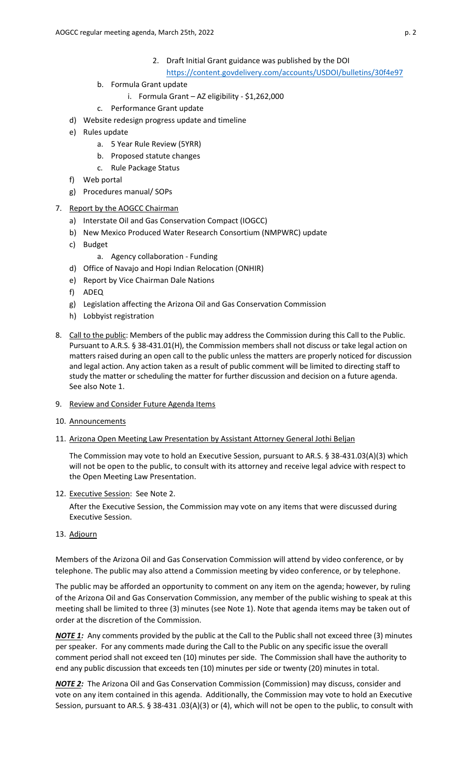- 2. Draft Initial Grant guidance was published by the DOI
	- <https://content.govdelivery.com/accounts/USDOI/bulletins/30f4e97>
- b. Formula Grant update
	- i. Formula Grant AZ eligibility \$1,262,000
- c. Performance Grant update
- d) Website redesign progress update and timeline
- e) Rules update
	- a. 5 Year Rule Review (5YRR)
	- b. Proposed statute changes
	- c. Rule Package Status
- f) Web portal
- g) Procedures manual/ SOPs
- 7. Report by the AOGCC Chairman
	- a) Interstate Oil and Gas Conservation Compact (IOGCC)
	- b) New Mexico Produced Water Research Consortium (NMPWRC) update
	- c) Budget
		- a. Agency collaboration Funding
	- d) Office of Navajo and Hopi Indian Relocation (ONHIR)
	- e) Report by Vice Chairman Dale Nations
	- f) ADEQ
	- g) Legislation affecting the Arizona Oil and Gas Conservation Commission
	- h) Lobbyist registration
- 8. Call to the public: Members of the public may address the Commission during this Call to the Public. Pursuant to A.R.S. § 38-431.01(H), the Commission members shall not discuss or take legal action on matters raised during an open call to the public unless the matters are properly noticed for discussion and legal action. Any action taken as a result of public comment will be limited to directing staff to study the matter or scheduling the matter for further discussion and decision on a future agenda. See also Note 1.
- 9. Review and Consider Future Agenda Items
- 10. Announcements
- 11. Arizona Open Meeting Law Presentation by Assistant Attorney General Jothi Beljan

The Commission may vote to hold an Executive Session, pursuant to AR.S. § 38-431.03(A)(3) which will not be open to the public, to consult with its attorney and receive legal advice with respect to the Open Meeting Law Presentation.

12. Executive Session: See Note 2.

After the Executive Session, the Commission may vote on any items that were discussed during Executive Session.

13. Adjourn

Members of the Arizona Oil and Gas Conservation Commission will attend by video conference, or by telephone. The public may also attend a Commission meeting by video conference, or by telephone.

The public may be afforded an opportunity to comment on any item on the agenda; however, by ruling of the Arizona Oil and Gas Conservation Commission, any member of the public wishing to speak at this meeting shall be limited to three (3) minutes (see Note 1). Note that agenda items may be taken out of order at the discretion of the Commission.

*NOTE 1:* Any comments provided by the public at the Call to the Public shall not exceed three (3) minutes per speaker. For any comments made during the Call to the Public on any specific issue the overall comment period shall not exceed ten (10) minutes per side. The Commission shall have the authority to end any public discussion that exceeds ten (10) minutes per side or twenty (20) minutes in total.

*NOTE 2:* The Arizona Oil and Gas Conservation Commission (Commission) may discuss, consider and vote on any item contained in this agenda. Additionally, the Commission may vote to hold an Executive Session, pursuant to AR.S. § 38-431 .03(A)(3) or (4), which will not be open to the public, to consult with